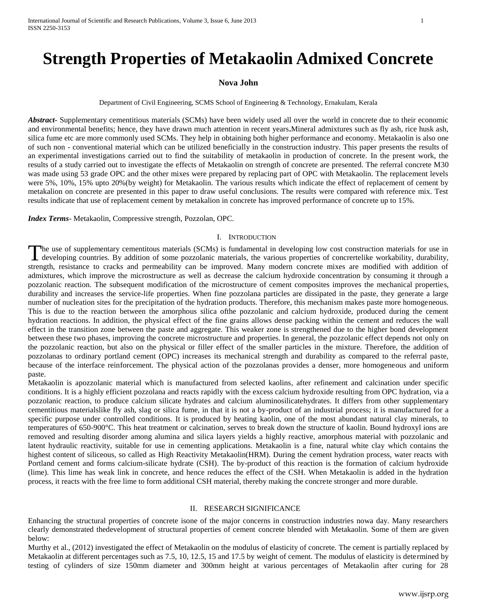# **Strength Properties of Metakaolin Admixed Concrete**

#### **Nova John**

Department of Civil Engineering, SCMS School of Engineering & Technology, Ernakulam, Kerala

*Abstract***-** Supplementary cementitious materials (SCMs) have been widely used all over the world in concrete due to their economic and environmental benefits; hence, they have drawn much attention in recent years**.**Mineral admixtures such as fly ash, rice husk ash, silica fume etc are more commonly used SCMs. They help in obtaining both higher performance and economy. Metakaolin is also one of such non - conventional material which can be utilized beneficially in the construction industry. This paper presents the results of an experimental investigations carried out to find the suitability of metakaolin in production of concrete. In the present work, the results of a study carried out to investigate the effects of Metakaolin on strength of concrete are presented. The referral concrete M30 was made using 53 grade OPC and the other mixes were prepared by replacing part of OPC with Metakaolin. The replacement levels were 5%, 10%, 15% upto 20%(by weight) for Metakaolin. The various results which indicate the effect of replacement of cement by metakalion on concrete are presented in this paper to draw useful conclusions. The results were compared with reference mix. Test results indicate that use of replacement cement by metakalion in concrete has improved performance of concrete up to 15%.

*Index Terms*- Metakaolin, Compressive strength, Pozzolan, OPC.

#### I. INTRODUCTION

he use of supplementary cementitous materials (SCMs) is fundamental in developing low cost construction materials for use in The use of supplementary cementitous materials (SCMs) is fundamental in developing low cost construction materials for use in developing countries. By addition of some pozzolanic materials, the various properties of concre strength, resistance to cracks and permeability can be improved. Many modern concrete mixes are modified with addition of admixtures, which improve the microstructure as well as decrease the calcium hydroxide concentration by consuming it through a pozzolanic reaction. The subsequent modification of the microstructure of cement composites improves the mechanical properties, durability and increases the service-life properties. When fine pozzolana particles are dissipated in the paste, they generate a large number of nucleation sites for the precipitation of the hydration products. Therefore, this mechanism makes paste more homogeneous. This is due to the reaction between the amorphous silica ofthe pozzolanic and calcium hydroxide, produced during the cement hydration reactions. In addition, the physical effect of the fine grains allows dense packing within the cement and reduces the wall effect in the transition zone between the paste and aggregate. This weaker zone is strengthened due to the higher bond development between these two phases, improving the concrete microstructure and properties. In general, the pozzolanic effect depends not only on the pozzolanic reaction, but also on the physical or filler effect of the smaller particles in the mixture. Therefore, the addition of pozzolanas to ordinary portland cement (OPC) increases its mechanical strength and durability as compared to the referral paste, because of the interface reinforcement. The physical action of the pozzolanas provides a denser, more homogeneous and uniform paste.

Metakaolin is apozzolanic material which is manufactured from selected kaolins, after refinement and calcination under specific conditions. It is a highly efficient pozzolana and reacts rapidly with the excess calcium hydroxide resulting from OPC hydration, via a pozzolanic reaction, to produce calcium silicate hydrates and calcium aluminosilicatehydrates. It differs from other supplementary cementitious materialslike fly ash, slag or silica fume, in that it is not a by-product of an industrial process; it is manufactured for a specific purpose under controlled conditions. It is produced by heating kaolin, one of the most abundant natural clay minerals, to temperatures of 650-900°C. This heat treatment or calcination, serves to break down the structure of kaolin. Bound hydroxyl ions are removed and resulting disorder among alumina and silica layers yields a highly reactive, amorphous material with pozzolanic and latent hydraulic reactivity, suitable for use in cementing applications. Metakaolin is a fine, natural white clay which contains the highest content of siliceous, so called as High Reactivity Metakaolin(HRM). During the cement hydration process, water reacts with Portland cement and forms calcium-silicate hydrate (CSH). The by-product of this reaction is the formation of calcium hydroxide (lime). This lime has weak link in concrete, and hence reduces the effect of the CSH. When Metakaolin is added in the hydration process, it reacts with the free lime to form additional CSH material, thereby making the concrete stronger and more durable.

#### II. RESEARCH SIGNIFICANCE

Enhancing the structural properties of concrete isone of the major concerns in construction industries nowa day. Many researchers clearly demonstrated thedevelopment of structural properties of cement concrete blended with Metakaolin. Some of them are given below:

Murthy et al., (2012) investigated the effect of Metakaolin on the modulus of elasticity of concrete. The cement is partially replaced by Metakaolin at different percentages such as 7.5, 10, 12.5, 15 and 17.5 by weight of cement. The modulus of elasticity is determined by testing of cylinders of size 150mm diameter and 300mm height at various percentages of Metakaolin after curing for 28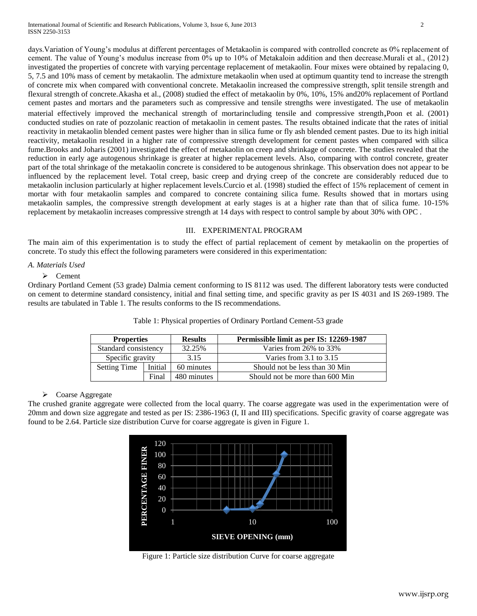days. Variation of Young's modulus at different percentages of Metakaolin is compared with controlled concrete as 0% replacement of cement. The value of Young"s modulus increase from 0% up to 10% of Metakaloin addition and then decrease.Murali et al., (2012) investigated the properties of concrete with varying percentage replacement of metakaolin. Four mixes were obtained by repalacing 0, 5, 7.5 and 10% mass of cement by metakaolin. The admixture metakaolin when used at optimum quantity tend to increase the strength of concrete mix when compared with conventional concrete. Metakaolin increased the compressive strength, split tensile strength and flexural strength of concrete.Akasha et al., (2008) studied the effect of metakaolin by 0%, 10%, 15% and20% replacement of Portland cement pastes and mortars and the parameters such as compressive and tensile strengths were investigated. The use of metakaolin material effectively improved the mechanical strength of mortarincluding tensile and compressive strength,Poon et al. (2001) conducted studies on rate of pozzolanic reaction of metakaolin in cement pastes. The results obtained indicate that the rates of initial reactivity in metakaolin blended cement pastes were higher than in silica fume or fly ash blended cement pastes. Due to its high initial reactivity, metakaolin resulted in a higher rate of compressive strength development for cement pastes when compared with silica fume.Brooks and Joharis (2001) investigated the effect of metakaolin on creep and shrinkage of concrete. The studies revealed that the reduction in early age autogenous shrinkage is greater at higher replacement levels. Also, comparing with control concrete, greater part of the total shrinkage of the metakaolin concrete is considered to be autogenous shrinkage. This observation does not appear to be influenced by the replacement level. Total creep, basic creep and drying creep of the concrete are considerably reduced due to metakaolin inclusion particularly at higher replacement levels.Curcio et al. (1998) studied the effect of 15% replacement of cement in mortar with four metakaolin samples and compared to concrete containing silica fume. Results showed that in mortars using metakaolin samples, the compressive strength development at early stages is at a higher rate than that of silica fume. 10-15% replacement by metakaolin increases compressive strength at 14 days with respect to control sample by about 30% with OPC .

# III. EXPERIMENTAL PROGRAM

The main aim of this experimentation is to study the effect of partial replacement of cement by metakaolin on the properties of concrete. To study this effect the following parameters were considered in this experimentation:

# *A. Materials Used*

### $\triangleright$  Cement

Ordinary Portland Cement (53 grade) Dalmia cement conforming to IS 8112 was used. The different laboratory tests were conducted on cement to determine standard consistency, initial and final setting time, and specific gravity as per IS 4031 and IS 269-1989. The results are tabulated in Table 1. The results conforms to the IS recommendations.

| <b>Properties</b>    |         | <b>Results</b> | Permissible limit as per IS: 12269-1987 |
|----------------------|---------|----------------|-----------------------------------------|
| Standard consistency |         | 32.25%         | Varies from 26% to 33%                  |
| Specific gravity     |         | 3.15           | Varies from $3.1$ to $3.15$             |
| <b>Setting Time</b>  | Initial | 60 minutes     | Should not be less than 30 Min          |
|                      | Final   | 480 minutes    | Should not be more than 600 Min         |

Table 1: Physical properties of Ordinary Portland Cement-53 grade

## Coarse Aggregate

The crushed granite aggregate were collected from the local quarry. The coarse aggregate was used in the experimentation were of 20mm and down size aggregate and tested as per IS: 2386-1963 (I, II and III) specifications. Specific gravity of coarse aggregate was found to be 2.64. Particle size distribution Curve for coarse aggregate is given in Figure 1.



Figure 1: Particle size distribution Curve for coarse aggregate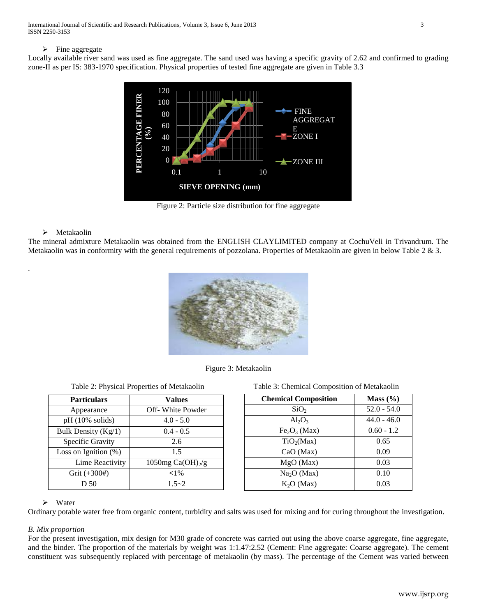### $\triangleright$  Fine aggregate

Locally available river sand was used as fine aggregate. The sand used was having a specific gravity of 2.62 and confirmed to grading zone-II as per IS: 383-1970 specification. Physical properties of tested fine aggregate are given in Table 3.3



Figure 2: Particle size distribution for fine aggregate

# $\triangleright$  Metakaolin

.

The mineral admixture Metakaolin was obtained from the ENGLISH CLAYLIMITED company at CochuVeli in Trivandrum. The Metakaolin was in conformity with the general requirements of pozzolana. Properties of Metakaolin are given in below Table 2 & 3.



Figure 3: Metakaolin

| <b>Particulars</b>        | <b>Values</b>         |
|---------------------------|-----------------------|
| Appearance                | Off-White Powder      |
| $pH(10\% \text{ solids})$ | $4.0 - 5.0$           |
| Bulk Density $(Kg/1)$     | $0.4 - 0.5$           |
| Specific Gravity          | 2.6                   |
| Loss on Ignition (%)      | 1.5                   |
| Lime Reactivity           | 1050mg Ca(OH) $_2$ /g |
| Grit (+300#)              | ${<}1\%$              |
| D 50                      | $1.5 - 2$             |

| Table 2: Physical Properties of Metakaolin | Table 3: Chemical Composition of Metakaolin |
|--------------------------------------------|---------------------------------------------|
|                                            |                                             |

| <b>Chemical Composition</b> | Mass $(\% )$  |
|-----------------------------|---------------|
| SiO <sub>2</sub>            | $52.0 - 54.0$ |
| $Al_2O_3$                   | $44.0 - 46.0$ |
| $Fe2O3$ (Max)               | $0.60 - 1.2$  |
| TiO <sub>2</sub> (Max)      | 0.65          |
| CaO (Max)                   | 0.09          |
| MgO (Max)                   | 0.03          |
| Na <sub>2</sub> O (Max)     | 0.10          |
| K <sub>2</sub> O (Max)      | 0.03          |

### $\triangleright$  Water

Ordinary potable water free from organic content, turbidity and salts was used for mixing and for curing throughout the investigation.

# *B. Mix proportion*

For the present investigation, mix design for M30 grade of concrete was carried out using the above coarse aggregate, fine aggregate, and the binder. The proportion of the materials by weight was 1:1.47:2.52 (Cement: Fine aggregate: Coarse aggregate). The cement constituent was subsequently replaced with percentage of metakaolin (by mass). The percentage of the Cement was varied between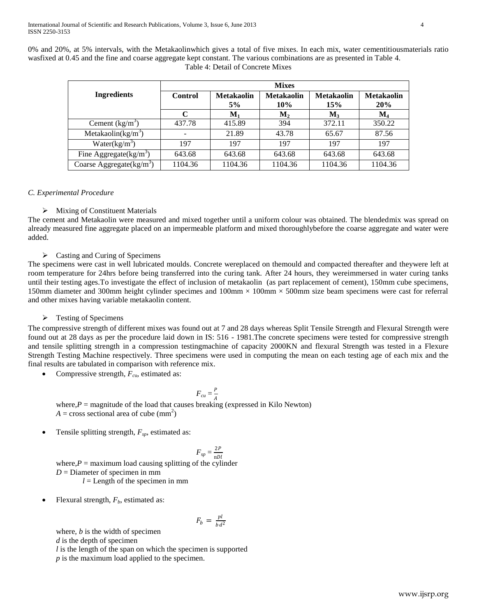0% and 20%, at 5% intervals, with the Metakaolinwhich gives a total of five mixes. In each mix, water cementitiousmaterials ratio wasfixed at 0.45 and the fine and coarse aggregate kept constant. The various combinations are as presented in Table 4. Table 4: Detail of Concrete Mixes

|                            | <b>Mixes</b>   |                         |                          |                          |                                 |
|----------------------------|----------------|-------------------------|--------------------------|--------------------------|---------------------------------|
| <b>Ingredients</b>         | <b>Control</b> | <b>Metakaolin</b><br>5% | <b>Metakaolin</b><br>10% | <b>Metakaolin</b><br>15% | <b>Metakaolin</b><br><b>20%</b> |
|                            | C              | ${\bf M}_1$             | $M_2$                    | $M_{3}$                  | $M_4$                           |
| Cement $(kg/m^3)$          | 437.78         | 415.89                  | 394                      | 372.11                   | 350.22                          |
| Metakaolin( $kg/m3$ )      |                | 21.89                   | 43.78                    | 65.67                    | 87.56                           |
| Water $(kg/m^3)$           | 197            | 197                     | 197                      | 197                      | 197                             |
| Fine Aggregate $(kg/m^3)$  | 643.68         | 643.68                  | 643.68                   | 643.68                   | 643.68                          |
| Coarse Aggregate $(kg/m3)$ | 1104.36        | 1104.36                 | 1104.36                  | 1104.36                  | 1104.36                         |

# *C. Experimental Procedure*

# $\triangleright$  Mixing of Constituent Materials

The cement and Metakaolin were measured and mixed together until a uniform colour was obtained. The blendedmix was spread on already measured fine aggregate placed on an impermeable platform and mixed thoroughlybefore the coarse aggregate and water were added.

# Casting and Curing of Specimens

The specimens were cast in well lubricated moulds. Concrete wereplaced on themould and compacted thereafter and theywere left at room temperature for 24hrs before being transferred into the curing tank. After 24 hours, they wereimmersed in water curing tanks until their testing ages.To investigate the effect of inclusion of metakaolin (as part replacement of cement), 150mm cube specimens, 150mm diameter and 300mm height cylinder specimes and  $100$ mm  $\times$  100mm  $\times$  500mm size beam specimens were cast for referral and other mixes having variable metakaolin content.

# $\triangleright$  Testing of Specimens

The compressive strength of different mixes was found out at 7 and 28 days whereas Split Tensile Strength and Flexural Strength were found out at 28 days as per the procedure laid down in IS: 516 - 1981.The concrete specimens were tested for compressive strength and tensile splitting strength in a compression testingmachine of capacity 2000KN and flexural Strength was tested in a Flexure Strength Testing Machine respectively. Three specimens were used in computing the mean on each testing age of each mix and the final results are tabulated in comparison with reference mix.

Compressive strength, *Fc*u, estimated as:

$$
F_{cu} = \frac{P}{4}
$$

where, $P =$  magnitude of the load that causes breaking (expressed in Kilo Newton)  $A = \text{cross sectional area of cube } (\text{mm}^2)$ 

Tensile splitting strength, *Fsp*, estimated as:

$$
F_{sp} = \frac{2P}{\pi D l}
$$

where, $P =$  maximum load causing splitting of the cylinder *D* = Diameter of specimen in mm  $l =$  Length of the specimen in mm

Flexural strength, *Fb*, estimated as:

$$
F_b = \frac{pl}{bd^2}
$$

where, *b* is the width of specimen *d* is the depth of specimen *l* is the length of the span on which the specimen is supported *p* is the maximum load applied to the specimen.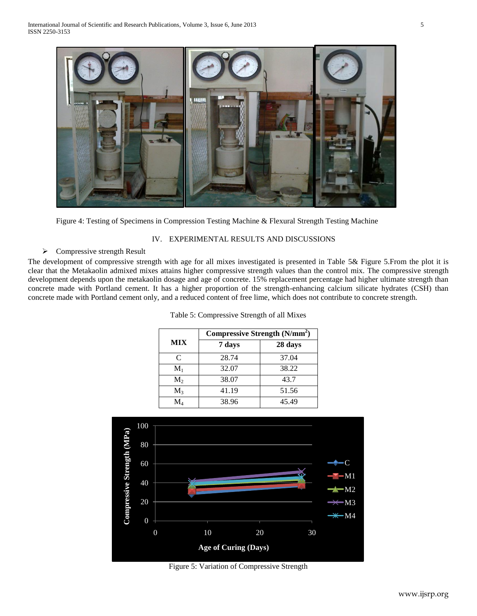

Figure 4: Testing of Specimens in Compression Testing Machine & Flexural Strength Testing Machine

# IV. EXPERIMENTAL RESULTS AND DISCUSSIONS

# $\triangleright$  Compressive strength Result

The development of compressive strength with age for all mixes investigated is presented in Table 5& Figure 5.From the plot it is clear that the Metakaolin admixed mixes attains higher compressive strength values than the control mix. The compressive strength development depends upon the metakaolin dosage and age of concrete. 15% replacement percentage had higher ultimate strength than concrete made with Portland cement. It has a higher proportion of the strength-enhancing calcium silicate hydrates (CSH) than concrete made with Portland cement only, and a reduced content of free lime, which does not contribute to concrete strength.

Table 5: Compressive Strength of all Mixes

|             | Compressive Strength (N/mm <sup>2</sup> ) |         |  |  |
|-------------|-------------------------------------------|---------|--|--|
| <b>MIX</b>  | 7 days                                    | 28 days |  |  |
| C           | 28.74                                     | 37.04   |  |  |
| $M_1$       | 32.07                                     | 38.22   |  |  |
| $M_2$       | 38.07                                     | 43.7    |  |  |
| $M_{3}$     | 41.19                                     | 51.56   |  |  |
| $\rm M_{4}$ | 38.96                                     | 45.49   |  |  |

|                | Compressive Strength (N/mm <sup>2</sup> ) |         |  |
|----------------|-------------------------------------------|---------|--|
| <b>MIX</b>     | 7 days                                    | 28 days |  |
| C              | 28.74                                     | 37.04   |  |
| $M_1$          | 32.07                                     | 38.22   |  |
| $M_2$          | 38.07                                     | 43.7    |  |
| $M_{3}$        | 41.19                                     | 51.56   |  |
| $\mathbf{M}_4$ | 38.96                                     | 45.49   |  |



Figure 5: Variation of Compressive Strength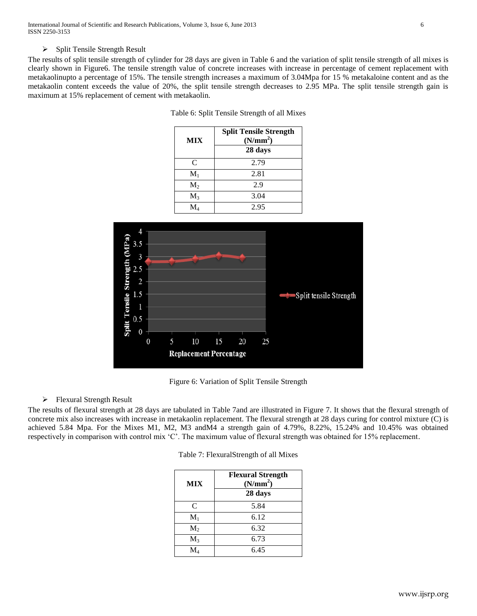International Journal of Scientific and Research Publications, Volume 3, Issue 6, June 2013 6 ISSN 2250-3153

#### $\triangleright$  Split Tensile Strength Result

The results of split tensile strength of cylinder for 28 days are given in Table 6 and the variation of split tensile strength of all mixes is clearly shown in Figure6. The tensile strength value of concrete increases with increase in percentage of cement replacement with metakaolinupto a percentage of 15%. The tensile strength increases a maximum of 3.04Mpa for 15 % metakaloine content and as the metakaolin content exceeds the value of 20%, the split tensile strength decreases to 2.95 MPa. The split tensile strength gain is maximum at 15% replacement of cement with metakaolin.

| <b>MIX</b>     | <b>Split Tensile Strength</b><br>(N/mm <sup>2</sup> ) |
|----------------|-------------------------------------------------------|
|                | 28 days                                               |
| C              | 2.79                                                  |
| $M_1$          | 2.81                                                  |
| M <sub>2</sub> | 2.9                                                   |
| $M_3$          | 3.04                                                  |
| M.             | 2.95                                                  |



Figure 6: Variation of Split Tensile Strength

### $\triangleright$  Flexural Strength Result

The results of flexural strength at 28 days are tabulated in Table 7and are illustrated in Figure 7. It shows that the flexural strength of concrete mix also increases with increase in metakaolin replacement. The flexural strength at 28 days curing for control mixture (C) is achieved 5.84 Mpa. For the Mixes M1, M2, M3 andM4 a strength gain of 4.79%, 8.22%, 15.24% and 10.45% was obtained respectively in comparison with control mix "C". The maximum value of flexural strength was obtained for 15% replacement.

| <b>MIX</b>        | <b>Flexural Strength</b><br>(N/mm <sup>2</sup> ) |
|-------------------|--------------------------------------------------|
|                   | 28 days                                          |
| C                 | 5.84                                             |
| $M_1$             | 6.12                                             |
| $M_2$             | 6.32                                             |
| $M_3$             | 6.73                                             |
| $\rm M_{\tiny 4}$ | 6.45                                             |